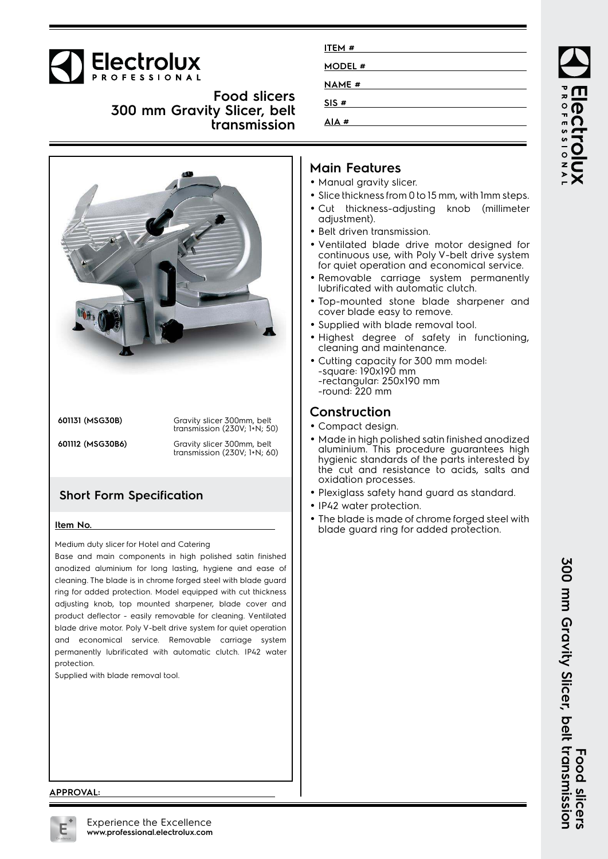

**Food slicers 300 mm Gravity Slicer, belt transmission**



**601131 (MSG30B)** Gravity slicer 300mm, belt transmission (230V; 1+N; 50)

**601112 (MSG30B6)** Gravity slicer 300mm, belt transmission (230V; 1+N; 60)

## **Short Form Specification**

#### **Item No.**

Medium duty slicer for Hotel and Catering

Base and main components in high polished satin finished anodized aluminium for long lasting, hygiene and ease of cleaning. The blade is in chrome forged steel with blade guard ring for added protection. Model equipped with cut thickness adjusting knob, top mounted sharpener, blade cover and product deflector - easily removable for cleaning. Ventilated blade drive motor. Poly V-belt drive system for quiet operation and economical service. Removable carriage system permanently lubrificated with automatic clutch. IP42 water protection.

Supplied with blade removal tool.

| ITEM #       |  |  |
|--------------|--|--|
| MODEL #      |  |  |
| <b>NAME#</b> |  |  |
| SIS#         |  |  |
| AIA#         |  |  |

## **Main Features**

- Manual gravity slicer.
- Slice thickness from 0 to 15 mm, with 1mm steps.
- Cut thickness-adjusting knob (millimeter adjustment).
- Belt driven transmission.
- • Ventilated blade drive motor designed for continuous use, with Poly V-belt drive system for quiet operation and economical service.
- Removable carriage system permanently lubrificated with automatic clutch.
- Top-mounted stone blade sharpener and cover blade easy to remove.
- Supplied with blade removal tool.
- Highest degree of safety in functioning, cleaning and maintenance.
- Cutting capacity for 300 mm model: -square: 190x190 mm -rectangular: 250x190 mm -round: 220 mm

#### **Construction**

- Compact design.
- Made in high polished satin finished anodized aluminium. This procedure guarantees high hygienic standards of the parts interested by the cut and resistance to acids, salts and oxidation processes.
- Plexiglass safety hand guard as standard.
- IP42 water protection.
- • The blade is made of chrome forged steel with blade guard ring for added protection.

ROFESSIONA

**APPROVAL:**